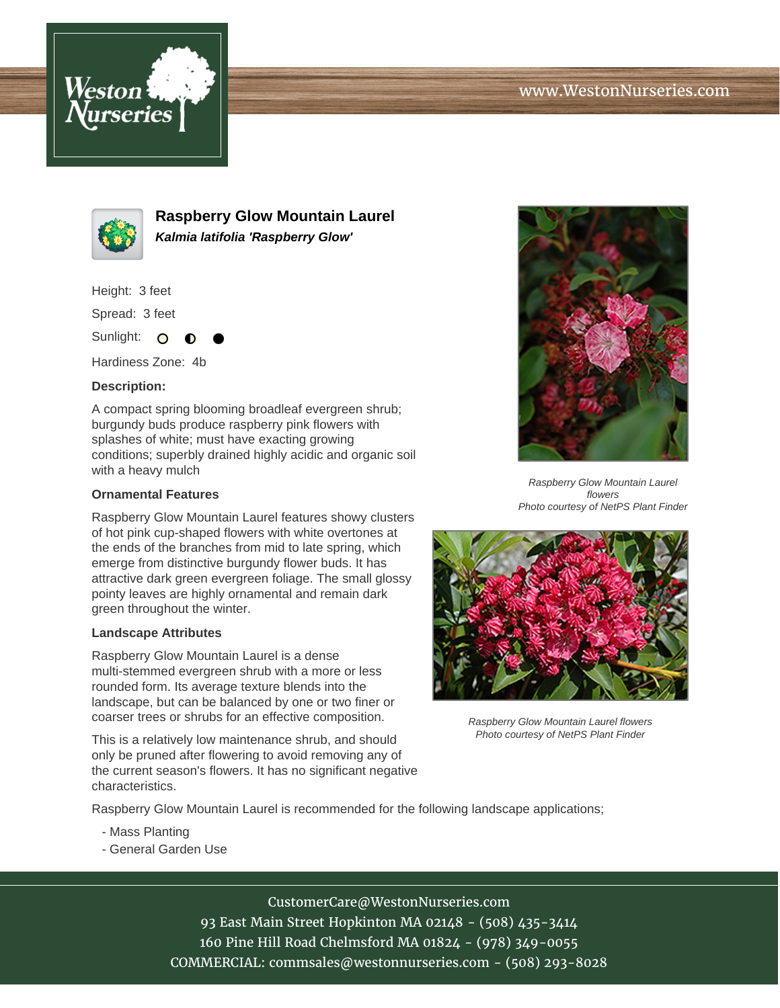



**Raspberry Glow Mountain Laurel Kalmia latifolia 'Raspberry Glow'**

Height: 3 feet

Spread: 3 feet

Sunlight: O

Hardiness Zone: 4b

## **Description:**

A compact spring blooming broadleaf evergreen shrub; burgundy buds produce raspberry pink flowers with splashes of white; must have exacting growing conditions; superbly drained highly acidic and organic soil with a heavy mulch

## **Ornamental Features**

Raspberry Glow Mountain Laurel features showy clusters of hot pink cup-shaped flowers with white overtones at the ends of the branches from mid to late spring, which emerge from distinctive burgundy flower buds. It has attractive dark green evergreen foliage. The small glossy pointy leaves are highly ornamental and remain dark green throughout the winter.

#### **Landscape Attributes**

Raspberry Glow Mountain Laurel is a dense multi-stemmed evergreen shrub with a more or less rounded form. Its average texture blends into the landscape, but can be balanced by one or two finer or coarser trees or shrubs for an effective composition.

This is a relatively low maintenance shrub, and should only be pruned after flowering to avoid removing any of the current season's flowers. It has no significant negative characteristics.



Raspberry Glow Mountain Laurel flowers Photo courtesy of NetPS Plant Finder



Raspberry Glow Mountain Laurel flowers Photo courtesy of NetPS Plant Finder

Raspberry Glow Mountain Laurel is recommended for the following landscape applications;

- Mass Planting
- General Garden Use

# CustomerCare@WestonNurseries.com

93 East Main Street Hopkinton MA 02148 - (508) 435-3414 160 Pine Hill Road Chelmsford MA 01824 - (978) 349-0055 COMMERCIAL: commsales@westonnurseries.com - (508) 293-8028